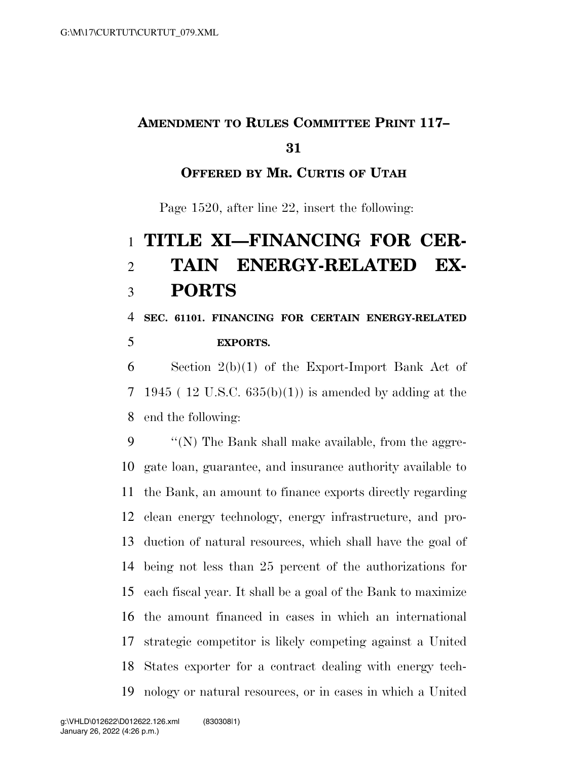## **AMENDMENT TO RULES COMMITTEE PRINT 117–**

#### 

### **OFFERED BY MR. CURTIS OF UTAH**

Page 1520, after line 22, insert the following:

# **TITLE XI—FINANCING FOR CER- TAIN ENERGY-RELATED EX-PORTS**

### **SEC. 61101. FINANCING FOR CERTAIN ENERGY-RELATED EXPORTS.**

 Section 2(b)(1) of the Export-Import Bank Act of 7 1945 (12 U.S.C.  $635(b)(1)$ ) is amended by adding at the end the following:

 ''(N) The Bank shall make available, from the aggre- gate loan, guarantee, and insurance authority available to the Bank, an amount to finance exports directly regarding clean energy technology, energy infrastructure, and pro- duction of natural resources, which shall have the goal of being not less than 25 percent of the authorizations for each fiscal year. It shall be a goal of the Bank to maximize the amount financed in cases in which an international strategic competitor is likely competing against a United States exporter for a contract dealing with energy tech-nology or natural resources, or in cases in which a United